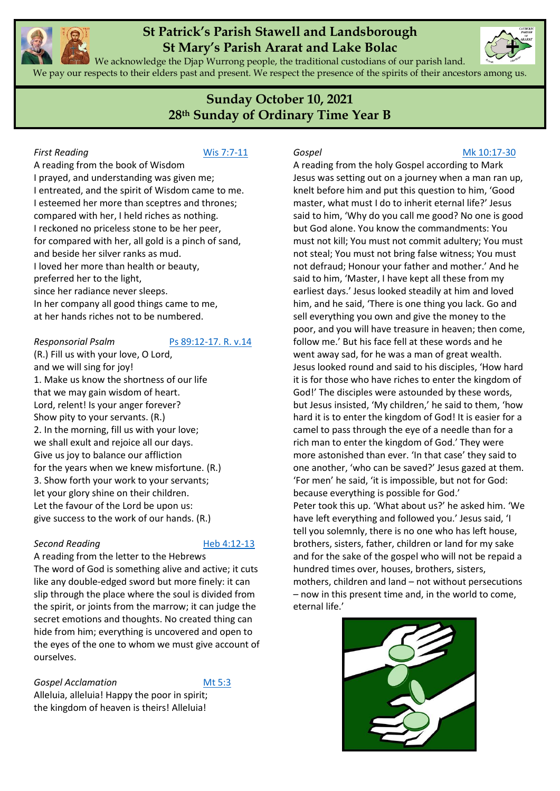

We acknowledge the Djap Wurrong people, the traditional custodians of our parish land. We pay our respects to their elders past and present. We respect the presence of the spirits of their ancestors among us.

# **Sunday October 10, 2021 28th Sunday of Ordinary Time Year B**

#### **First Reading [Wis 7:7-11](https://www.liturgyhelp.com/ritual/lectionary/LectionaryList%7Cwis#wis007)**

A reading from the book of Wisdom I prayed, and understanding was given me; I entreated, and the spirit of Wisdom came to me. I esteemed her more than sceptres and thrones; compared with her, I held riches as nothing. I reckoned no priceless stone to be her peer, for compared with her, all gold is a pinch of sand, and beside her silver ranks as mud. I loved her more than health or beauty, preferred her to the light, since her radiance never sleeps. In her company all good things came to me, at her hands riches not to be numbered.

#### *Responsorial Psalm* [Ps 89:12-17. R. v.14](https://www.liturgyhelp.com/ritual/lectionary/LectionaryListPsalm%7Cpsm)

(R.) Fill us with your love, O Lord, and we will sing for joy! 1. Make us know the shortness of our life that we may gain wisdom of heart. Lord, relent! Is your anger forever? Show pity to your servants. (R.) 2. In the morning, fill us with your love; we shall exult and rejoice all our days. Give us joy to balance our affliction for the years when we knew misfortune. (R.) 3. Show forth your work to your servants; let your glory shine on their children. Let the favour of the Lord be upon us: give success to the work of our hands. (R.)

### **Second Reading [Heb 4:12-13](https://www.liturgyhelp.com/ritual/lectionary/LectionaryList%7Cheb#heb004)**

A reading from the letter to the Hebrews The word of God is something alive and active; it cuts like any double-edged sword but more finely: it can slip through the place where the soul is divided from the spirit, or joints from the marrow; it can judge the secret emotions and thoughts. No created thing can hide from him; everything is uncovered and open to the eyes of the one to whom we must give account of ourselves.

#### **Gospel Acclamation** [Mt 5:3](https://www.liturgyhelp.com/ritual/lectionary/LectionaryListGosAc%7Cmtw#mtw005)

Alleluia, alleluia! Happy the poor in spirit; the kingdom of heaven is theirs! Alleluia!

#### *Gospel* [Mk 10:17-30](https://www.liturgyhelp.com/ritual/lectionary/LectionaryList%7Cmrk#mrk010)

A reading from the holy Gospel according to Mark Jesus was setting out on a journey when a man ran up, knelt before him and put this question to him, 'Good master, what must I do to inherit eternal life?' Jesus said to him, 'Why do you call me good? No one is good but God alone. You know the commandments: You must not kill; You must not commit adultery; You must not steal; You must not bring false witness; You must not defraud; Honour your father and mother.' And he said to him, 'Master, I have kept all these from my earliest days.' Jesus looked steadily at him and loved him, and he said, 'There is one thing you lack. Go and sell everything you own and give the money to the poor, and you will have treasure in heaven; then come, follow me.' But his face fell at these words and he went away sad, for he was a man of great wealth. Jesus looked round and said to his disciples, 'How hard it is for those who have riches to enter the kingdom of God!' The disciples were astounded by these words, but Jesus insisted, 'My children,' he said to them, 'how hard it is to enter the kingdom of God! It is easier for a camel to pass through the eye of a needle than for a rich man to enter the kingdom of God.' They were more astonished than ever. 'In that case' they said to one another, 'who can be saved?' Jesus gazed at them. 'For men' he said, 'it is impossible, but not for God: because everything is possible for God.' Peter took this up. 'What about us?' he asked him. 'We have left everything and followed you.' Jesus said, 'I tell you solemnly, there is no one who has left house, brothers, sisters, father, children or land for my sake and for the sake of the gospel who will not be repaid a hundred times over, houses, brothers, sisters, mothers, children and land – not without persecutions – now in this present time and, in the world to come, eternal life.'



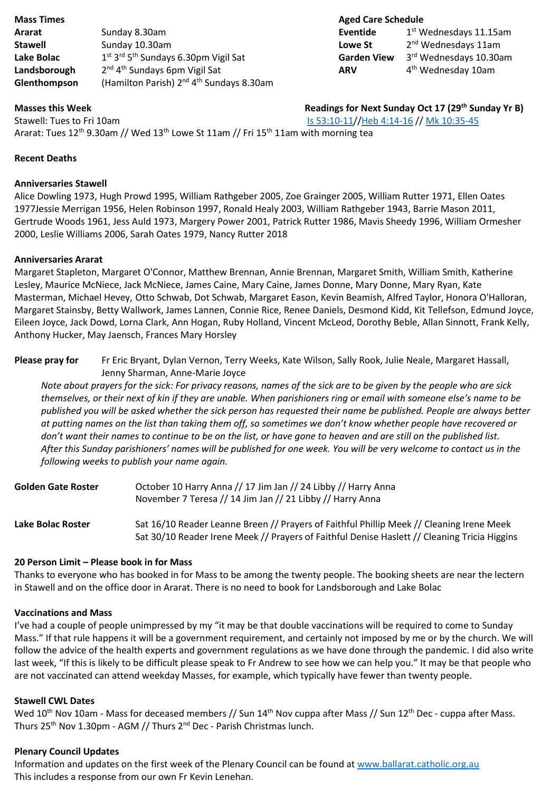| <b>Mass Times</b> |                                                                          | <b>Aged Care Sched</b> |    |
|-------------------|--------------------------------------------------------------------------|------------------------|----|
| Ararat            | Sunday 8.30am                                                            | Eventide               | -1 |
| <b>Stawell</b>    | Sunday 10.30am                                                           | Lowe St                | -2 |
| Lake Bolac        | 1 <sup>st</sup> 3 <sup>rd</sup> 5 <sup>th</sup> Sundays 6.30pm Vigil Sat | <b>Garden View</b>     | -3 |
| Landsborough      | 2 <sup>nd</sup> 4 <sup>th</sup> Sundays 6pm Vigil Sat                    | <b>ARV</b>             | 4  |
| Glenthompson      | (Hamilton Parish) 2 <sup>nd</sup> 4 <sup>th</sup> Sundays 8.30am         |                        |    |

#### **Aged Care Schedule Eventide** 1st Wednesdays 11.15am

**Lowe St** 2<sup>nd</sup> Wednesdays 11am <sup>th</sup> Sundays 6.30pm Vigil Sat **Garden View** 3<sup>rd</sup> Wednesdays 10.30am 4<sup>th</sup> Wednesday 10am

**Masses this Week Readings for Next Sunday Oct 17 (29<sup>th</sup> Sunday Yr B)** 

Stawell: Tues to Fri 10am [Is 53:10-11/](https://www.liturgyhelp.com/ritual/lectionary/LectionaryList%7Cisa#isa053)[/Heb 4:14-16](https://www.liturgyhelp.com/ritual/lectionary/LectionaryList%7Cheb#heb004) /[/ Mk 10:35-45](https://www.liturgyhelp.com/ritual/lectionary/LectionaryList%7Cmrk#mrk010) Ararat: Tues 12<sup>th</sup> 9.30am // Wed 13<sup>th</sup> Lowe St 11am // Fri 15<sup>th</sup> 11am with morning tea

#### **Recent Deaths**

#### **Anniversaries Stawell**

Alice Dowling 1973, Hugh Prowd 1995, William Rathgeber 2005, Zoe Grainger 2005, William Rutter 1971, Ellen Oates 1977Jessie Merrigan 1956, Helen Robinson 1997, Ronald Healy 2003, William Rathgeber 1943, Barrie Mason 2011, Gertrude Woods 1961, Jess Auld 1973, Margery Power 2001, Patrick Rutter 1986, Mavis Sheedy 1996, William Ormesher 2000, Leslie Williams 2006, Sarah Oates 1979, Nancy Rutter 2018

#### **Anniversaries Ararat**

Margaret Stapleton, Margaret O'Connor, Matthew Brennan, Annie Brennan, Margaret Smith, William Smith, Katherine Lesley, Maurice McNiece, Jack McNiece, James Caine, Mary Caine, James Donne, Mary Donne, Mary Ryan, Kate Masterman, Michael Hevey, Otto Schwab, Dot Schwab, Margaret Eason, Kevin Beamish, Alfred Taylor, Honora O'Halloran, Margaret Stainsby, Betty Wallwork, James Lannen, Connie Rice, Renee Daniels, Desmond Kidd, Kit Tellefson, Edmund Joyce, Eileen Joyce, Jack Dowd, Lorna Clark, Ann Hogan, Ruby Holland, Vincent McLeod, Dorothy Beble, Allan Sinnott, Frank Kelly, Anthony Hucker, May Jaensch, Frances Mary Horsley

**Please pray for** Fr Eric Bryant, Dylan Vernon, Terry Weeks, Kate Wilson, Sally Rook, Julie Neale, Margaret Hassall, Jenny Sharman, Anne-Marie Joyce

*Note about prayers for the sick: For privacy reasons, names of the sick are to be given by the people who are sick themselves, or their next of kin if they are unable. When parishioners ring or email with someone else's name to be published you will be asked whether the sick person has requested their name be published. People are always better at putting names on the list than taking them off, so sometimes we don't know whether people have recovered or don't want their names to continue to be on the list, or have gone to heaven and are still on the published list. After this Sunday parishioners' names will be published for one week. You will be very welcome to contact us in the following weeks to publish your name again.* 

| <b>Golden Gate Roster</b> | October 10 Harry Anna // 17 Jim Jan // 24 Libby // Harry Anna<br>November 7 Teresa // 14 Jim Jan // 21 Libby // Harry Anna                                                               |
|---------------------------|------------------------------------------------------------------------------------------------------------------------------------------------------------------------------------------|
| Lake Bolac Roster         | Sat 16/10 Reader Leanne Breen // Prayers of Faithful Phillip Meek // Cleaning Irene Meek<br>Sat 30/10 Reader Irene Meek // Prayers of Faithful Denise Haslett // Cleaning Tricia Higgins |

#### **20 Person Limit – Please book in for Mass**

Thanks to everyone who has booked in for Mass to be among the twenty people. The booking sheets are near the lectern in Stawell and on the office door in Ararat. There is no need to book for Landsborough and Lake Bolac

#### **Vaccinations and Mass**

I've had a couple of people unimpressed by my "it may be that double vaccinations will be required to come to Sunday Mass." If that rule happens it will be a government requirement, and certainly not imposed by me or by the church. We will follow the advice of the health experts and government regulations as we have done through the pandemic. I did also write last week, "If this is likely to be difficult please speak to Fr Andrew to see how we can help you." It may be that people who are not vaccinated can attend weekday Masses, for example, which typically have fewer than twenty people.

### **Stawell CWL Dates**

Wed 10<sup>th</sup> Nov 10am - Mass for deceased members // Sun 14<sup>th</sup> Nov cuppa after Mass // Sun 12<sup>th</sup> Dec - cuppa after Mass. Thurs  $25^{th}$  Nov 1.30pm - AGM // Thurs  $2^{nd}$  Dec - Parish Christmas lunch.

#### **Plenary Council Updates**

Information and updates on the first week of the Plenary Council can be found at [www.ballarat.catholic.org.au](http://www.ballarat.catholic.org.au/) This includes a response from our own Fr Kevin Lenehan.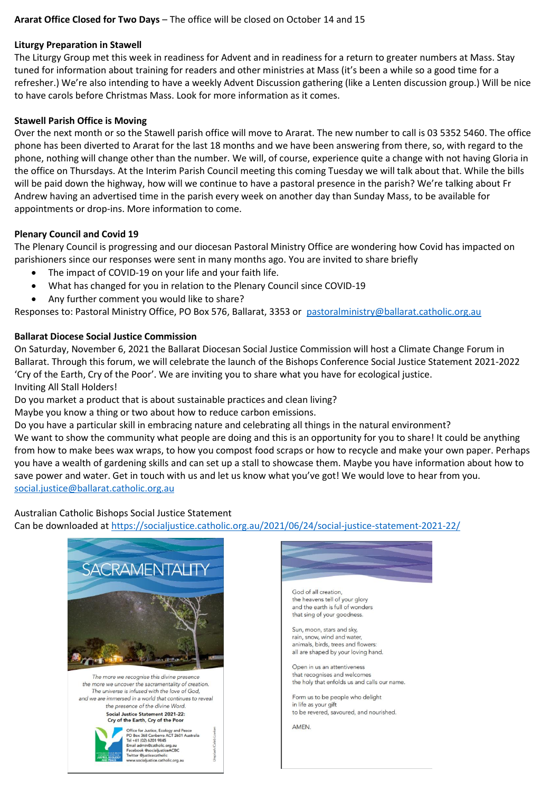### **Ararat Office Closed for Two Days** – The office will be closed on October 14 and 15

#### **Liturgy Preparation in Stawell**

The Liturgy Group met this week in readiness for Advent and in readiness for a return to greater numbers at Mass. Stay tuned for information about training for readers and other ministries at Mass (it's been a while so a good time for a refresher.) We're also intending to have a weekly Advent Discussion gathering (like a Lenten discussion group.) Will be nice to have carols before Christmas Mass. Look for more information as it comes.

#### **Stawell Parish Office is Moving**

Over the next month or so the Stawell parish office will move to Ararat. The new number to call is 03 5352 5460. The office phone has been diverted to Ararat for the last 18 months and we have been answering from there, so, with regard to the phone, nothing will change other than the number. We will, of course, experience quite a change with not having Gloria in the office on Thursdays. At the Interim Parish Council meeting this coming Tuesday we will talk about that. While the bills will be paid down the highway, how will we continue to have a pastoral presence in the parish? We're talking about Fr Andrew having an advertised time in the parish every week on another day than Sunday Mass, to be available for appointments or drop-ins. More information to come.

#### **Plenary Council and Covid 19**

The Plenary Council is progressing and our diocesan Pastoral Ministry Office are wondering how Covid has impacted on parishioners since our responses were sent in many months ago. You are invited to share briefly

- The impact of COVID-19 on your life and your faith life.
- What has changed for you in relation to the Plenary Council since COVID-19
- Any further comment you would like to share?

Responses to: Pastoral Ministry Office, PO Box 576, Ballarat, 3353 or [pastoralministry@ballarat.catholic.org.au](mailto:pastoralministry@ballarat.catholic.org.au)

### **Ballarat Diocese Social Justice Commission**

On Saturday, November 6, 2021 the Ballarat Diocesan Social Justice Commission will host a Climate Change Forum in Ballarat. Through this forum, we will celebrate the launch of the Bishops Conference Social Justice Statement 2021-2022 'Cry of the Earth, Cry of the Poor'. We are inviting you to share what you have for ecological justice. Inviting All Stall Holders!

Do you market a product that is about sustainable practices and clean living?

Maybe you know a thing or two about how to reduce carbon emissions.

Do you have a particular skill in embracing nature and celebrating all things in the natural environment? We want to show the community what people are doing and this is an opportunity for you to share! It could be anything from how to make bees wax wraps, to how you compost food scraps or how to recycle and make your own paper. Perhaps you have a wealth of gardening skills and can set up a stall to showcase them. Maybe you have information about how to save power and water. Get in touch with us and let us know what you've got! We would love to hear from you. [social.justice@ballarat.catholic.org.au](mailto:social.justice@ballarat.catholic.org.au)

Australian Catholic Bishops Social Justice Statement

Can be downloaded at<https://socialjustice.catholic.org.au/2021/06/24/social-justice-statement-2021-22/>





God of all creation. the heavens tell of your glory and the earth is full of wonders that sing of your goodness.

Sun, moon, stars and sky, rain, snow, wind and water animals, birds, trees and flowers: all are shaped by your loving hand.

Open in us an attentiveness that recognises and welcomes the holy that enfolds us and calls our name.

Form us to be people who delight in life as your gift to be revered, savoured, and nourished.

**AMEN**